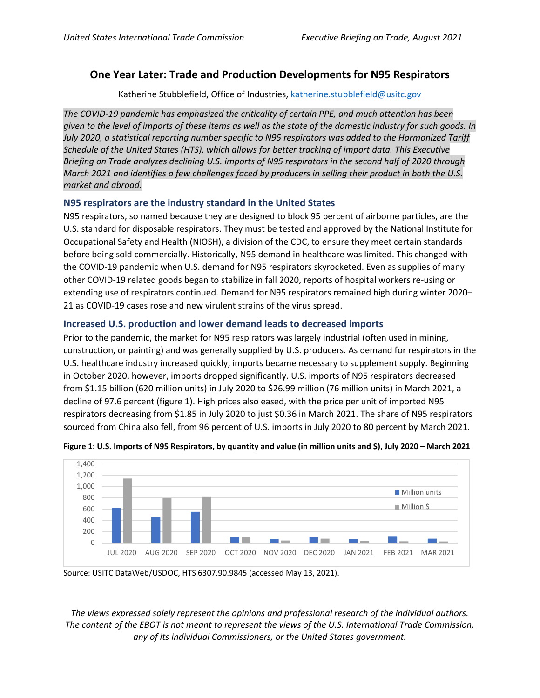# **One Year Later: Trade and Production Developments for N95 Respirators**

Katherine Stubblefield, Office of Industries[, katherine.stubblefield@usitc.gov](mailto:katherine.stubblefield@usitc.gov)

*The COVID-19 pandemic has emphasized the criticality of certain PPE, and much attention has been given to the level of imports of these items as well as the state of the domestic industry for such goods. In July 2020, a statistical reporting number specific to N95 respirators was added to the Harmonized Tariff Schedule of the United States (HTS), which allows for better tracking of import data. This Executive Briefing on Trade analyzes declining U.S. imports of N95 respirators in the second half of 2020 through March 2021 and identifies a few challenges faced by producers in selling their product in both the U.S. market and abroad.*

## **N95 respirators are the industry standard in the United States**

N95 respirators, so named because they are designed to block 95 percent of airborne particles, are the U.S. standard for disposable respirators. They must be tested and approved by the National Institute for Occupational Safety and Health (NIOSH), a division of the CDC, to ensure they meet certain standards before being sold commercially. Historically, N95 demand in healthcare was limited. This changed with the COVID-19 pandemic when U.S. demand for N95 respirators skyrocketed. Even as supplies of many other COVID-19 related goods began to stabilize in fall 2020, reports of hospital workers re-using or extending use of respirators continued. Demand for N95 respirators remained high during winter 2020– 21 as COVID-19 cases rose and new virulent strains of the virus spread.

## **Increased U.S. production and lower demand leads to decreased imports**

Prior to the pandemic, the market for N95 respirators was largely industrial (often used in mining, construction, or painting) and was generally supplied by U.S. producers. As demand for respirators in the U.S. healthcare industry increased quickly, imports became necessary to supplement supply. Beginning in October 2020, however, imports dropped significantly. U.S. imports of N95 respirators decreased from \$1.15 billion (620 million units) in July 2020 to \$26.99 million (76 million units) in March 2021, a decline of 97.6 percent (figure 1). High prices also eased, with the price per unit of imported N95 respirators decreasing from \$1.85 in July 2020 to just \$0.36 in March 2021. The share of N95 respirators sourced from China also fell, from 96 percent of U.S. imports in July 2020 to 80 percent by March 2021.





Source: USITC DataWeb/USDOC, HTS 6307.90.9845 (accessed May 13, 2021).

*The views expressed solely represent the opinions and professional research of the individual authors. The content of the EBOT is not meant to represent the views of the U.S. International Trade Commission, any of its individual Commissioners, or the United States government.*